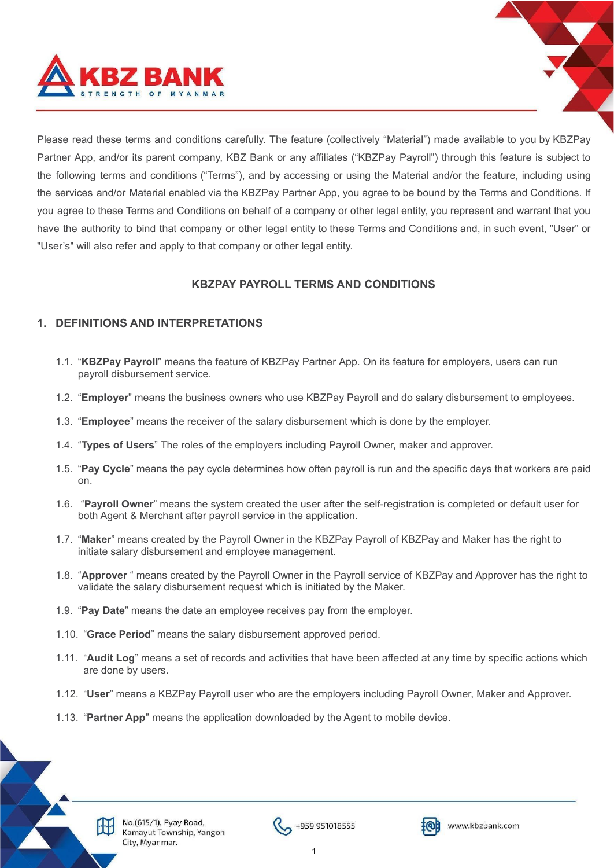

Please read these terms and conditions carefully. The feature (collectively "Material") made available to you by KBZPay Partner App, and/or its parent company, KBZ Bank or any affiliates ("KBZPay Payroll") through this feature is subject to the following terms and conditions ("Terms"), and by accessing or using the Material and/or the feature, including using the services and/or Material enabled via the KBZPay Partner App, you agree to be bound by the Terms and Conditions. If you agree to these Terms and Conditions on behalf of a company or other legal entity, you represent and warrant that you have the authority to bind that company or other legal entity to these Terms and Conditions and, in such event, "User" or "User's" will also refer and apply to that company or other legal entity.

# **KBZPAY PAYROLL TERMS AND CONDITIONS**

# **1. DEFINITIONS AND INTERPRETATIONS**

- 1.1. "**KBZPay Payroll**" means the feature of KBZPay Partner App. On its feature for employers, users can run payroll disbursement service.
- 1.2. "**Employer**" means the business owners who use KBZPay Payroll and do salary disbursement to employees.
- 1.3. "**Employee**" means the receiver of the salary disbursement which is done by the employer.
- 1.4. "**Types of Users**" The roles of the employers including Payroll Owner, maker and approver.
- 1.5. "**Pay Cycle**" means the pay cycle determines how often payroll is run and the specific days that workers are paid on.
- 1.6. "**Payroll Owner**" means the system created the user after the self-registration is completed or default user for both Agent & Merchant after payroll service in the application.
- 1.7. "**Maker**" means created by the Payroll Owner in the KBZPay Payroll of KBZPay and Maker has the right to initiate salary disbursement and employee management.
- 1.8. "**Approver** " means created by the Payroll Owner in the Payroll service of KBZPay and Approver has the right to validate the salary disbursement request which is initiated by the Maker.
- 1.9. "**Pay Date**" means the date an employee receives pay from the employer.
- 1.10. "**Grace Period**" means the salary disbursement approved period.
- 1.11. "**Audit Log**" means a set of records and activities that have been affected at any time by specific actions which are done by users.
- 1.12. "**User**" means a KBZPay Payroll user who are the employers including Payroll Owner, Maker and Approver.
- 1.13. "**Partner App**" means the application downloaded by the Agent to mobile device.





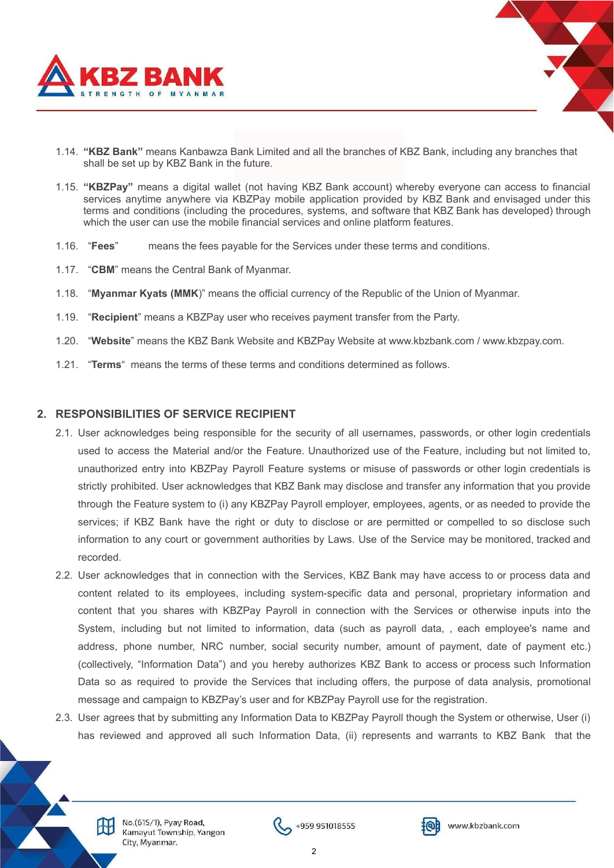

- 1.14. **"KBZ Bank"** means Kanbawza Bank Limited and all the branches of KBZ Bank, including any branches that shall be set up by KBZ Bank in the future.
- 1.15. **"KBZPay"** means a digital wallet (not having KBZ Bank account) whereby everyone can access to financial services anytime anywhere via KBZPay mobile application provided by KBZ Bank and envisaged under this terms and conditions (including the procedures, systems, and software that KBZ Bank has developed) through which the user can use the mobile financial services and online platform features.
- 1.16. "**Fees**" means the fees payable for the Services under these terms and conditions.
- 1.17. "**CBM**" means the Central Bank of Myanmar.
- 1.18. "**Myanmar Kyats (MMK**)" means the official currency of the Republic of the Union of Myanmar.
- 1.19. "**Recipient**" means a KBZPay user who receives payment transfer from the Party.
- 1.20. "**Website**" means the KBZ Bank Website and KBZPay Website at www.kbzbank.com / www.kbzpay.com.
- 1.21. "**Terms**" means the terms of these terms and conditions determined as follows.

#### **2. RESPONSIBILITIES OF SERVICE RECIPIENT**

- 2.1. User acknowledges being responsible for the security of all usernames, passwords, or other login credentials used to access the Material and/or the Feature. Unauthorized use of the Feature, including but not limited to, unauthorized entry into KBZPay Payroll Feature systems or misuse of passwords or other login credentials is strictly prohibited. User acknowledges that KBZ Bank may disclose and transfer any information that you provide through the Feature system to (i) any KBZPay Payroll employer, employees, agents, or as needed to provide the services; if KBZ Bank have the right or duty to disclose or are permitted or compelled to so disclose such information to any court or government authorities by Laws. Use of the Service may be monitored, tracked and recorded.
- 2.2. User acknowledges that in connection with the Services, KBZ Bank may have access to or process data and content related to its employees, including system-specific data and personal, proprietary information and content that you shares with KBZPay Payroll in connection with the Services or otherwise inputs into the System, including but not limited to information, data (such as payroll data, , each employee's name and address, phone number, NRC number, social security number, amount of payment, date of payment etc.) (collectively, "Information Data") and you hereby authorizes KBZ Bank to access or process such Information Data so as required to provide the Services that including offers, the purpose of data analysis, promotional message and campaign to KBZPay's user and for KBZPay Payroll use for the registration.
- 2.3. User agrees that by submitting any Information Data to KBZPay Payroll though the System or otherwise, User (i) has reviewed and approved all such Information Data, (ii) represents and warrants to KBZ Bank that the

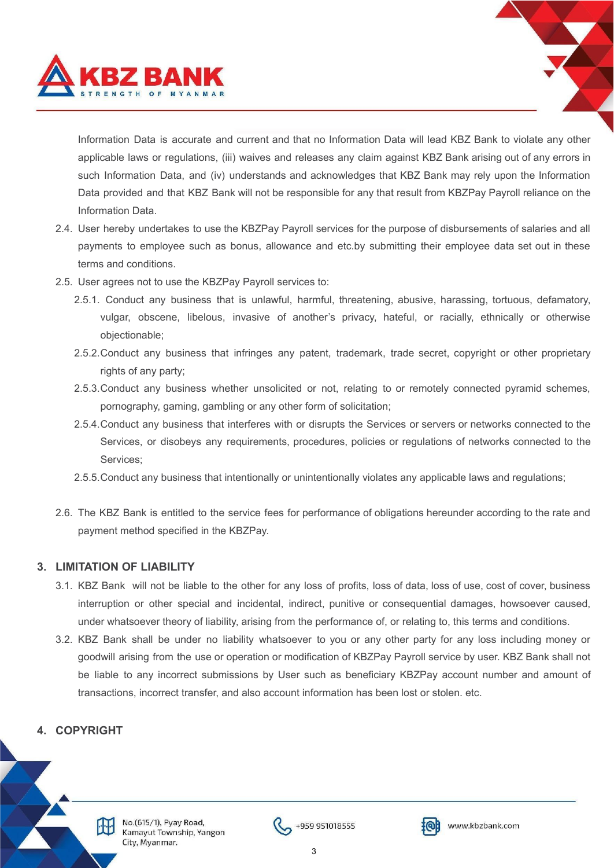

Information Data is accurate and current and that no Information Data will lead KBZ Bank to violate any other applicable laws or regulations, (iii) waives and releases any claim against KBZ Bank arising out of any errors in such Information Data, and (iv) understands and acknowledges that KBZ Bank may rely upon the Information Data provided and that KBZ Bank will not be responsible for any that result from KBZPay Payroll reliance on the Information Data.

- 2.4. User hereby undertakes to use the KBZPay Payroll services for the purpose of disbursements of salaries and all payments to employee such as bonus, allowance and etc.by submitting their employee data set out in these terms and conditions.
- 2.5. User agrees not to use the KBZPay Payroll services to:
	- 2.5.1. Conduct any business that is unlawful, harmful, threatening, abusive, harassing, tortuous, defamatory, vulgar, obscene, libelous, invasive of another's privacy, hateful, or racially, ethnically or otherwise objectionable;
	- 2.5.2.Conduct any business that infringes any patent, trademark, trade secret, copyright or other proprietary rights of any party:
	- 2.5.3.Conduct any business whether unsolicited or not, relating to or remotely connected pyramid schemes, pornography, gaming, gambling or any other form of solicitation;
	- 2.5.4.Conduct any business that interferes with or disrupts the Services or servers or networks connected to the Services, or disobeys any requirements, procedures, policies or regulations of networks connected to the Services;
	- 2.5.5.Conduct any business that intentionally or unintentionally violates any applicable laws and regulations;
- 2.6. The KBZ Bank is entitled to the service fees for performance of obligations hereunder according to the rate and payment method specified in the KBZPay.

## **3. LIMITATION OF LIABILITY**

- 3.1. KBZ Bank will not be liable to the other for any loss of profits, loss of data, loss of use, cost of cover, business interruption or other special and incidental, indirect, punitive or consequential damages, howsoever caused, under whatsoever theory of liability, arising from the performance of, or relating to, this terms and conditions.
- 3.2. KBZ Bank shall be under no liability whatsoever to you or any other party for any loss including money or goodwill arising from the use or operation or modification of KBZPay Payroll service by user. KBZ Bank shall not be liable to any incorrect submissions by User such as beneficiary KBZPay account number and amount of transactions, incorrect transfer, and also account information has been lost or stolen. etc.

# **4. COPYRIGHT**

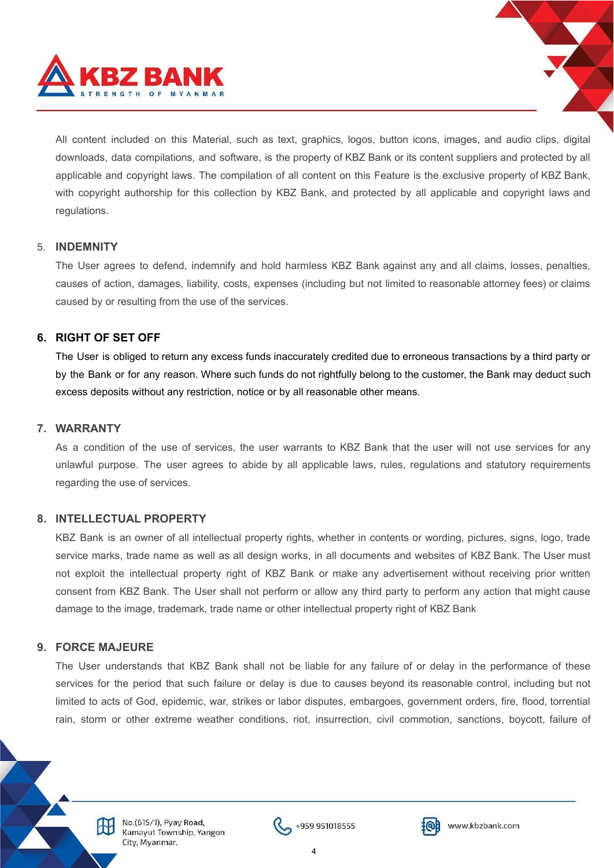

All content included on this Material, such as text, graphics, logos, button icons, images, and audio clips, digital downloads, data compilations, and software, is the property of KBZ Bank or its content suppliers and protected by all applicable and copyright laws. The compilation of all content on this Feature is the exclusive property of KBZ Bank, with copyright authorship for this collection by KBZ Bank, and protected by all applicable and copyright laws and regulations.

#### 5. **INDEMNITY**

The User agrees to defend, indemnify and hold harmless KBZ Bank against any and all claims, losses, penalties, causes of action, damages, liability, costs, expenses (including but not limited to reasonable attorney fees) or claims caused by or resulting from the use of the services.

# **6. RIGHT OF SET OFF**

The User is obliged to return any excess funds inaccurately credited due to erroneous transactions by a third party or by the Bank or for any reason. Where such funds do not rightfully belong to the customer, the Bank may deduct such excess deposits without any restriction, notice or by all reasonable other means.

#### **7. WARRANTY**

As a condition of the use of services, the user warrants to KBZ Bank that the user will not use services for any unlawful purpose. The user agrees to abide by all applicable laws, rules, regulations and statutory requirements regarding the use of services.

## **8. INTELLECTUAL PROPERTY**

KBZ Bank is an owner of all intellectual property rights, whether in contents or wording, pictures, signs, logo, trade service marks, trade name as well as all design works, in all documents and websites of KBZ Bank. The User must not exploit the intellectual property right of KBZ Bank or make any advertisement without receiving prior written consent from KBZ Bank. The User shall not perform or allow any third party to perform any action that might cause damage to the image, trademark, trade name or other intellectual property right of KBZ Bank

## **9. FORCE MAJEURE**

The User understands that KBZ Bank shall not be liable for any failure of or delay in the performance of these services for the period that such failure or delay is due to causes beyond its reasonable control, including but not limited to acts of God, epidemic, war, strikes or labor disputes, embargoes, government orders, fire, flood, torrential rain, storm or other extreme weather conditions, riot, insurrection, civil commotion, sanctions, boycott, failure of



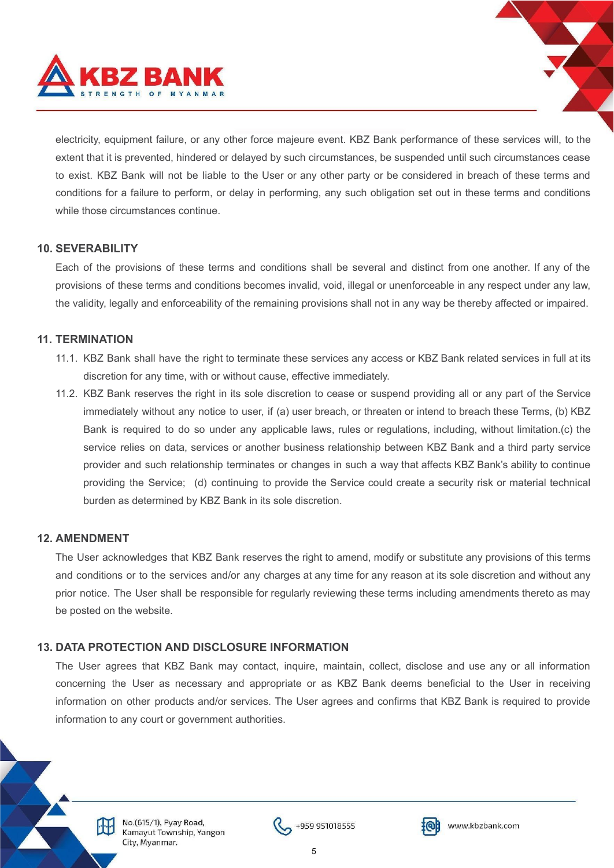

electricity, equipment failure, or any other force majeure event. KBZ Bank performance of these services will, to the extent that it is prevented, hindered or delayed by such circumstances, be suspended until such circumstances cease to exist. KBZ Bank will not be liable to the User or any other party or be considered in breach of these terms and conditions for a failure to perform, or delay in performing, any such obligation set out in these terms and conditions while those circumstances continue.

## **10. SEVERABILITY**

Each of the provisions of these terms and conditions shall be several and distinct from one another. If any of the provisions of these terms and conditions becomes invalid, void, illegal or unenforceable in any respect under any law, the validity, legally and enforceability of the remaining provisions shall not in any way be thereby affected or impaired.

## **11. TERMINATION**

- 11.1. KBZ Bank shall have the right to terminate these services any access or KBZ Bank related services in full at its discretion for any time, with or without cause, effective immediately.
- 11.2. KBZ Bank reserves the right in its sole discretion to cease or suspend providing all or any part of the Service immediately without any notice to user, if (a) user breach, or threaten or intend to breach these Terms, (b) KBZ Bank is required to do so under any applicable laws, rules or regulations, including, without limitation.(c) the service relies on data, services or another business relationship between KBZ Bank and a third party service provider and such relationship terminates or changes in such a way that affects KBZ Bank's ability to continue providing the Service; (d) continuing to provide the Service could create a security risk or material technical burden as determined by KBZ Bank in its sole discretion.

#### **12. AMENDMENT**

The User acknowledges that KBZ Bank reserves the right to amend, modify or substitute any provisions of this terms and conditions or to the services and/or any charges at any time for any reason at its sole discretion and without any prior notice. The User shall be responsible for regularly reviewing these terms including amendments thereto as may be posted on the website.

## **13. DATA PROTECTION AND DISCLOSURE INFORMATION**

The User agrees that KBZ Bank may contact, inquire, maintain, collect, disclose and use any or all information concerning the User as necessary and appropriate or as KBZ Bank deems beneficial to the User in receiving information on other products and/or services. The User agrees and confirms that KBZ Bank is required to provide information to any court or government authorities.



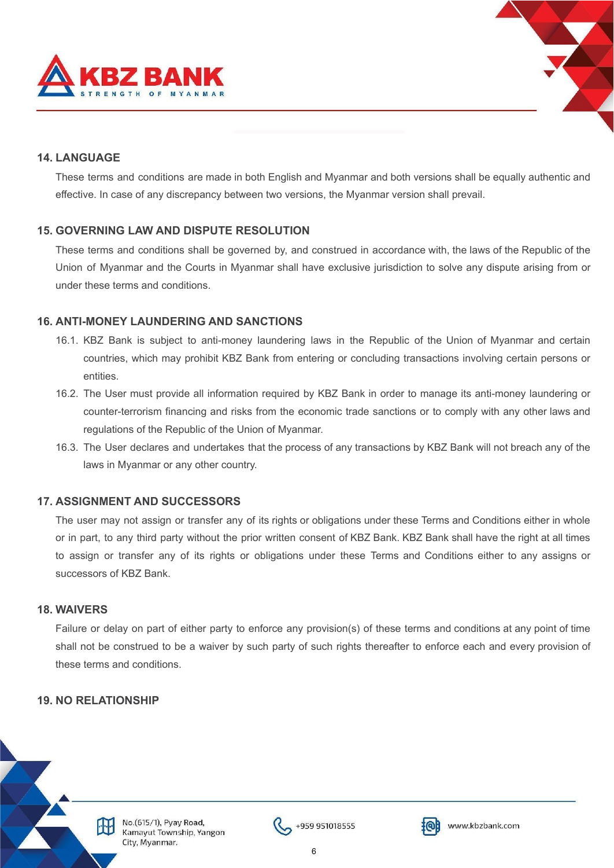



# **14. LANGUAGE**

These terms and conditions are made in both English and Myanmar and both versions shall be equally authentic and effective. In case of any discrepancy between two versions, the Myanmar version shall prevail.

## **15. GOVERNING LAW AND DISPUTE RESOLUTION**

These terms and conditions shall be governed by, and construed in accordance with, the laws of the Republic of the Union of Myanmar and the Courts in Myanmar shall have exclusive jurisdiction to solve any dispute arising from or under these terms and conditions.

#### **16. ANTI-MONEY LAUNDERING AND SANCTIONS**

- 16.1. KBZ Bank is subject to anti-money laundering laws in the Republic of the Union of Myanmar and certain countries, which may prohibit KBZ Bank from entering or concluding transactions involving certain persons or entities.
- 16.2. The User must provide all information required by KBZ Bank in order to manage its anti-money laundering or counter-terrorism financing and risks from the economic trade sanctions or to comply with any other laws and regulations of the Republic of the Union of Myanmar.
- 16.3. The User declares and undertakes that the process of any transactions by KBZ Bank will not breach any of the laws in Myanmar or any other country.

## **17. ASSIGNMENT AND SUCCESSORS**

The user may not assign or transfer any of its rights or obligations under these Terms and Conditions either in whole or in part, to any third party without the prior written consent of KBZ Bank. KBZ Bank shall have the right at all times to assign or transfer any of its rights or obligations under these Terms and Conditions either to any assigns or successors of KBZ Bank.

#### **18. WAIVERS**

Failure or delay on part of either party to enforce any provision(s) of these terms and conditions at any point of time shall not be construed to be a waiver by such party of such rights thereafter to enforce each and every provision of these terms and conditions.

## **19. NO RELATIONSHIP**